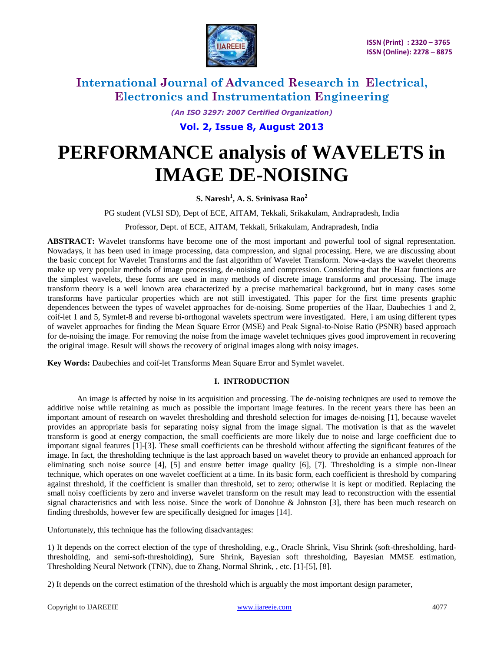

*(An ISO 3297: 2007 Certified Organization)*

**Vol. 2, Issue 8, August 2013**

# **PERFORMANCE analysis of WAVELETS in IMAGE DE-NOISING**

**S. Naresh<sup>1</sup> , A. S. Srinivasa Rao<sup>2</sup>**

PG student (VLSI SD), Dept of ECE, AITAM, Tekkali, Srikakulam, Andrapradesh, India

Professor, Dept. of ECE, AITAM, Tekkali, Srikakulam, Andrapradesh, India

**ABSTRACT:** Wavelet transforms have become one of the most important and powerful tool of signal representation. Nowadays, it has been used in image processing, data compression, and signal processing. Here, we are discussing about the basic concept for Wavelet Transforms and the fast algorithm of Wavelet Transform. Now-a-days the wavelet theorems make up very popular methods of image processing, de-noising and compression. Considering that the Haar functions are the simplest wavelets, these forms are used in many methods of discrete image transforms and processing. The image transform theory is a well known area characterized by a precise mathematical background, but in many cases some transforms have particular properties which are not still investigated. This paper for the first time presents graphic dependences between the types of wavelet approaches for de-noising. Some properties of the Haar, Daubechies 1 and 2, coif-let 1 and 5, Symlet-8 and reverse bi-orthogonal wavelets spectrum were investigated. Here, i am using different types of wavelet approaches for finding the Mean Square Error (MSE) and Peak Signal-to-Noise Ratio (PSNR) based approach for de-noising the image. For removing the noise from the image wavelet techniques gives good improvement in recovering the original image. Result will shows the recovery of original images along with noisy images.

**Key Words:** Daubechies and coif-let Transforms Mean Square Error and Symlet wavelet.

#### **I. INTRODUCTION**

An image is affected by noise in its acquisition and processing. The de-noising techniques are used to remove the additive noise while retaining as much as possible the important image features. In the recent years there has been an important amount of research on wavelet thresholding and threshold selection for images de-noising [1], because wavelet provides an appropriate basis for separating noisy signal from the image signal. The motivation is that as the wavelet transform is good at energy compaction, the small coefficients are more likely due to noise and large coefficient due to important signal features [1]-[3]. These small coefficients can be threshold without affecting the significant features of the image. In fact, the thresholding technique is the last approach based on wavelet theory to provide an enhanced approach for eliminating such noise source [4], [5] and ensure better image quality [6], [7]. Thresholding is a simple non-linear technique, which operates on one wavelet coefficient at a time. In its basic form, each coefficient is threshold by comparing against threshold, if the coefficient is smaller than threshold, set to zero; otherwise it is kept or modified. Replacing the small noisy coefficients by zero and inverse wavelet transform on the result may lead to reconstruction with the essential signal characteristics and with less noise. Since the work of Donohue & Johnston [3], there has been much research on finding thresholds, however few are specifically designed for images [14].

Unfortunately, this technique has the following disadvantages:

1) It depends on the correct election of the type of thresholding, e.g., Oracle Shrink, Visu Shrink (soft-thresholding, hardthresholding, and semi-soft-thresholding), Sure Shrink, Bayesian soft thresholding, Bayesian MMSE estimation, Thresholding Neural Network (TNN), due to Zhang, Normal Shrink, , etc. [1]-[5], [8].

2) It depends on the correct estimation of the threshold which is arguably the most important design parameter,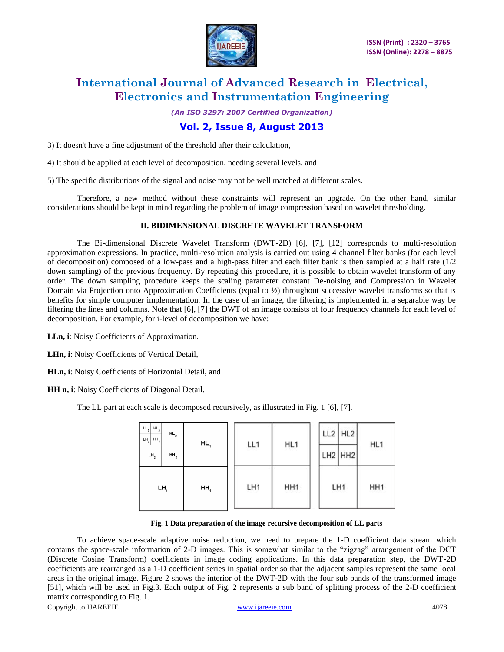

*(An ISO 3297: 2007 Certified Organization)*

### **Vol. 2, Issue 8, August 2013**

3) It doesn't have a fine adjustment of the threshold after their calculation,

4) It should be applied at each level of decomposition, needing several levels, and

5) The specific distributions of the signal and noise may not be well matched at different scales.

Therefore, a new method without these constraints will represent an upgrade. On the other hand, similar considerations should be kept in mind regarding the problem of image compression based on wavelet thresholding.

#### **II. BIDIMENSIONAL DISCRETE WAVELET TRANSFORM**

The Bi-dimensional Discrete Wavelet Transform (DWT-2D) [6], [7], [12] corresponds to multi-resolution approximation expressions. In practice, multi-resolution analysis is carried out using 4 channel filter banks (for each level of decomposition) composed of a low-pass and a high-pass filter and each filter bank is then sampled at a half rate  $(1/2)$ down sampling) of the previous frequency. By repeating this procedure, it is possible to obtain wavelet transform of any order. The down sampling procedure keeps the scaling parameter constant De-noising and Compression in Wavelet Domain via Projection onto Approximation Coefficients (equal to ½) throughout successive wavelet transforms so that is benefits for simple computer implementation. In the case of an image, the filtering is implemented in a separable way be filtering the lines and columns. Note that [6], [7] the DWT of an image consists of four frequency channels for each level of decomposition. For example, for i-level of decomposition we have:

**LLn, i**: Noisy Coefficients of Approximation.

**LHn, i**: Noisy Coefficients of Vertical Detail,

**HLn, i**: Noisy Coefficients of Horizontal Detail, and

**HH n, i**: Noisy Coefficients of Diagonal Detail.

The LL part at each scale is decomposed recursively, as illustrated in Fig. 1 [6], [7].

| $LL_{3}$<br>$HL$ <sub>3</sub><br>$LH_3$<br>HH <sub>3</sub> | $HL$ ,          | HL  |     | HL <sub>1</sub> | $LL2$ $HL2$ | HL <sub>1</sub> |
|------------------------------------------------------------|-----------------|-----|-----|-----------------|-------------|-----------------|
| $LH_2$                                                     | HH <sub>2</sub> |     | LL1 |                 | $LH2$ HH2   |                 |
| $LH$ <sub>1</sub>                                          |                 | HH, | LH1 | HH <sub>1</sub> | c.<br>LH1   | HH <sub>1</sub> |

#### **Fig. 1 Data preparation of the image recursive decomposition of LL parts**

Copyright to IJAREEIE [www.ijareeie.com](http://www.ijareeie.com/) 4078 To achieve space-scale adaptive noise reduction, we need to prepare the 1-D coefficient data stream which contains the space-scale information of 2-D images. This is somewhat similar to the "zigzag" arrangement of the DCT (Discrete Cosine Transform) coefficients in image coding applications. In this data preparation step, the DWT-2D coefficients are rearranged as a 1-D coefficient series in spatial order so that the adjacent samples represent the same local areas in the original image. Figure 2 shows the interior of the DWT-2D with the four sub bands of the transformed image [51], which will be used in Fig.3. Each output of Fig. 2 represents a sub band of splitting process of the 2-D coefficient matrix corresponding to Fig. 1.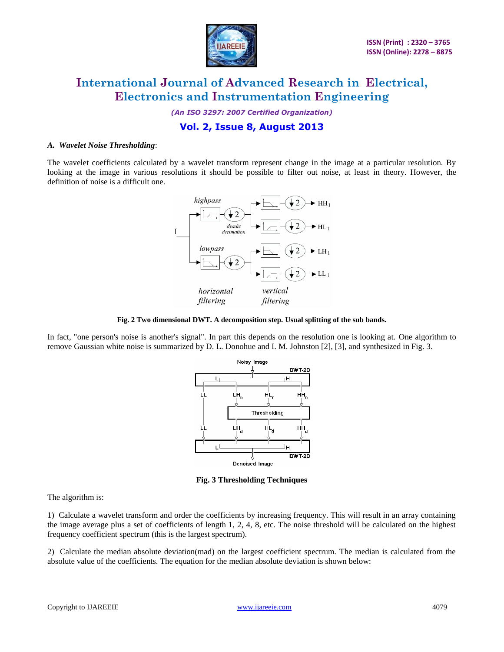

*(An ISO 3297: 2007 Certified Organization)*

### **Vol. 2, Issue 8, August 2013**

#### *A. Wavelet Noise Thresholding*:

The wavelet coefficients calculated by a wavelet transform represent change in the image at a particular resolution. By looking at the image in various resolutions it should be possible to filter out noise, at least in theory. However, the definition of noise is a difficult one.



#### **Fig. 2 Two dimensional DWT. A decomposition step. Usual splitting of the sub bands.**

In fact, "one person's noise is another's signal". In part this depends on the resolution one is looking at. One algorithm to remove Gaussian white noise is summarized by D. L. Donohue and I. M. Johnston [2], [3], and synthesized in Fig. 3.



**Fig. 3 Thresholding Techniques**

The algorithm is:

1) Calculate a wavelet transform and order the coefficients by increasing frequency. This will result in an array containing the image average plus a set of coefficients of length 1, 2, 4, 8, etc. The noise threshold will be calculated on the highest frequency coefficient spectrum (this is the largest spectrum).

2) Calculate the median absolute deviation(mad) on the largest coefficient spectrum. The median is calculated from the absolute value of the coefficients. The equation for the median absolute deviation is shown below: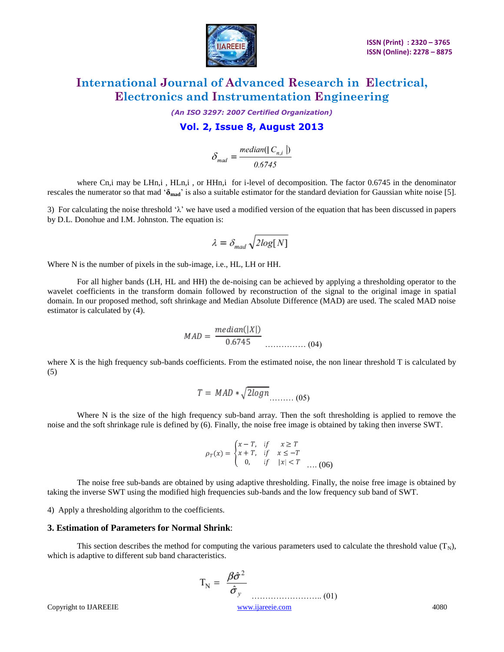

*(An ISO 3297: 2007 Certified Organization)*

### **Vol. 2, Issue 8, August 2013**

$$
\delta_{mad} = \frac{median(|C_{n,i}|)}{0.6745}
$$

where Cn,i may be LHn,i, HLn,i, or HHn,i for i-level of decomposition. The factor 0.6745 in the denominator rescales the numerator so that mad "**δmad**" is also a suitable estimator for the standard deviation for Gaussian white noise [5].

3) For calculating the noise threshold  $\lambda$  we have used a modified version of the equation that has been discussed in papers by D.L. Donohue and I.M. Johnston. The equation is:

$$
\lambda = \delta_{mad}\sqrt{2log[N]}
$$

Where N is the number of pixels in the sub-image, i.e., HL, LH or HH.

For all higher bands (LH, HL and HH) the de-noising can be achieved by applying a thresholding operator to the wavelet coefficients in the transform domain followed by reconstruction of the signal to the original image in spatial domain. In our proposed method, soft shrinkage and Median Absolute Difference (MAD) are used. The scaled MAD noise estimator is calculated by (4).

$$
MAD = \frac{median(|X|)}{0.6745} \dots \dots \dots \dots \dots (04)
$$

where X is the high frequency sub-bands coefficients. From the estimated noise, the non linear threshold T is calculated by (5)

$$
T = MAD * \sqrt{2logn}
$$
 (05)

Where N is the size of the high frequency sub-band array. Then the soft thresholding is applied to remove the noise and the soft shrinkage rule is defined by (6). Finally, the noise free image is obtained by taking then inverse SWT.

$$
\rho_T(x) = \begin{cases} x - T, & \text{if } x \ge T \\ x + T, & \text{if } x \le -T \\ 0, & \text{if } |x| < T \\ \end{cases} \dots (06)
$$

The noise free sub-bands are obtained by using adaptive thresholding. Finally, the noise free image is obtained by taking the inverse SWT using the modified high frequencies sub-bands and the low frequency sub band of SWT.

4) Apply a thresholding algorithm to the coefficients.

#### **3. Estimation of Parameters for Normal Shrink**:

This section describes the method for computing the various parameters used to calculate the threshold value  $(T_N)$ , which is adaptive to different sub band characteristics.

$$
T_N = \frac{\beta \hat{\sigma}^2}{\hat{\sigma}_y}
$$
  
Copyright to IJAREEIE  
<sub>www.ijarecie.com</sub> (01)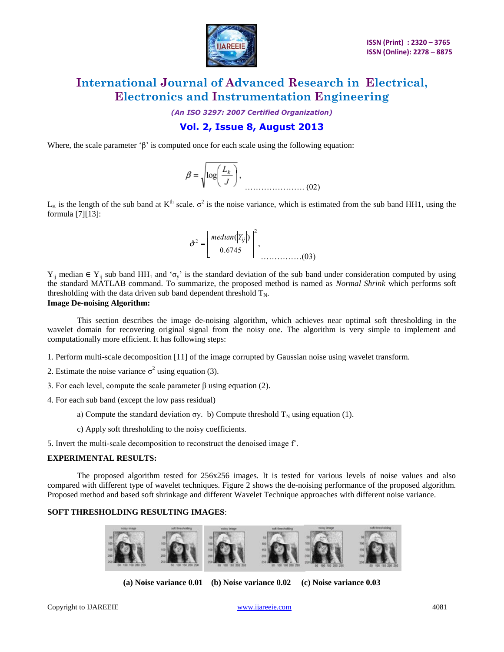

*(An ISO 3297: 2007 Certified Organization)*

### **Vol. 2, Issue 8, August 2013**

Where, the scale parameter ' $\beta$ ' is computed once for each scale using the following equation:

$$
\beta = \sqrt{\log\left(\frac{L_k}{J}\right)}, \qquad (02)
$$

 $L_K$  is the length of the sub band at  $K^{th}$  scale.  $\sigma^2$  is the noise variance, which is estimated from the sub band HH1, using the formula [7][13]:



 $Y_{ij}$  median  $\in Y_{ij}$  sub band HH<sub>1</sub> and ' $\sigma_y$ ' is the standard deviation of the sub band under consideration computed by using the standard MATLAB command. To summarize, the proposed method is named as *Normal Shrink* which performs soft thresholding with the data driven sub band dependent threshold  $T_N$ .

#### **Image De-noising Algorithm:**

This section describes the image de-noising algorithm, which achieves near optimal soft thresholding in the wavelet domain for recovering original signal from the noisy one. The algorithm is very simple to implement and computationally more efficient. It has following steps:

1. Perform multi-scale decomposition [11] of the image corrupted by Gaussian noise using wavelet transform.

- 2. Estimate the noise variance  $\sigma^2$  using equation (3).
- 3. For each level, compute the scale parameter β using equation (2).
- 4. For each sub band (except the low pass residual)
	- a) Compute the standard deviation  $\sigma y$ . b) Compute threshold  $T_N$  using equation (1).
	- c) Apply soft thresholding to the noisy coefficients.

5. Invert the multi-scale decomposition to reconstruct the denoised image fˆ.

#### **EXPERIMENTAL RESULTS:**

The proposed algorithm tested for 256x256 images. It is tested for various levels of noise values and also compared with different type of wavelet techniques. Figure 2 shows the de-noising performance of the proposed algorithm. Proposed method and based soft shrinkage and different Wavelet Technique approaches with different noise variance.

#### **SOFT THRESHOLDING RESULTING IMAGES**:



**(a) Noise variance 0.01 (b) Noise variance 0.02 (c) Noise variance 0.03**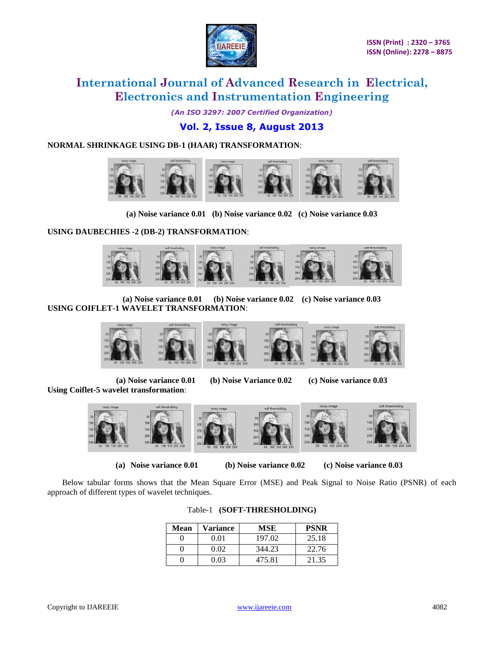

*(An ISO 3297: 2007 Certified Organization)*

### **Vol. 2, Issue 8, August 2013**

### **NORMAL SHRINKAGE USING DB-1 (HAAR) TRANSFORMATION**:



**(a) Noise variance 0.01 (b) Noise variance 0.02 (c) Noise variance 0.03**

**USING DAUBECHIES -2 (DB-2) TRANSFORMATION**:



**(a) Noise variance 0.01 (b) Noise variance 0.02 (c) Noise variance 0.03 USING COIFLET-1 WAVELET TRANSFORMATION**:



**Using Coiflet-5 wavelet transformation**:

**(a) Noise variance 0.01 (b) Noise Variance 0.02 (c) Noise variance 0.03**



**(a) Noise variance 0.01 (b) Noise variance 0.02 (c) Noise variance 0.03**

Below tabular forms shows that the Mean Square Error (MSE) and Peak Signal to Noise Ratio (PSNR) of each approach of different types of wavelet techniques.

| Mean | Variance | MSE    | <b>PSNR</b> |
|------|----------|--------|-------------|
|      | 0.01     | 197.02 | 25.18       |
|      | 0.02     | 344.23 | 22.76       |
|      | 0.03     | 475.81 | 21.35       |

#### Table-1 **(SOFT-THRESHOLDING)**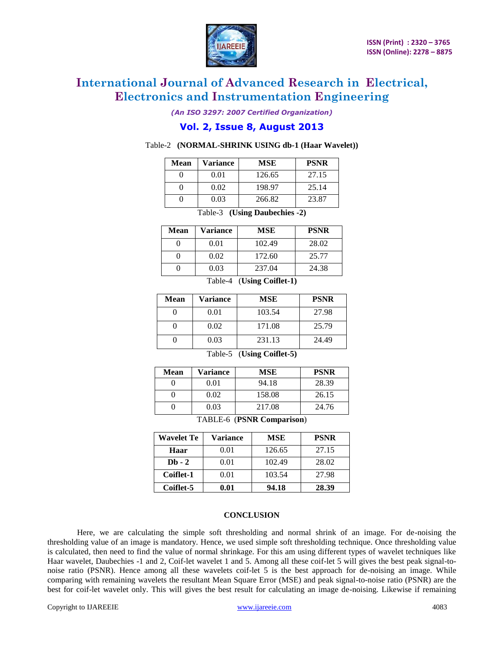

*(An ISO 3297: 2007 Certified Organization)*

### **Vol. 2, Issue 8, August 2013**

#### Table-2 **(NORMAL-SHRINK USING db-1 (Haar Wavelet))**

| Mean | Variance | MSE    | <b>PSNR</b> |
|------|----------|--------|-------------|
|      | 0.01     | 126.65 | 27.15       |
|      | 0.02     | 198.97 | 25.14       |
|      | 0.03     | 266.82 | 23.87       |

Table-3 **(Using Daubechies -2)**

| <b>Mean</b> | Variance | MSE    | <b>PSNR</b> |
|-------------|----------|--------|-------------|
|             | 0.01     | 102.49 | 28.02       |
|             | 0.02     | 172.60 | 25.77       |
|             | 0.03     | 237.04 | 24.38       |

Table-4 (**Using Coiflet-1)**

| <b>Mean</b>                         | Variance | <b>MSE</b> | <b>PSNR</b> |
|-------------------------------------|----------|------------|-------------|
|                                     | 0.01     | 103.54     | 27.98       |
|                                     | 0.02     | 171.08     | 25.79       |
|                                     | 0.03     | 231.13     | 24.49       |
| (T1.2C.29.4F)<br>$T$ , 1, 1, $\tau$ |          |            |             |

Table-5 (**Using Coiflet-5)**

| <b>Mean</b> | Variance | <b>MSE</b> | <b>PSNR</b> |
|-------------|----------|------------|-------------|
|             | 0.01     | 94.18      | 28.39       |
|             | 0.02     | 158.08     | 26.15       |
|             | 0.03     | 217.08     | 24.76       |

TABLE-6 (**PSNR Comparison**)

| <b>Wavelet Te</b> | Variance            | MSE    | <b>PSNR</b> |
|-------------------|---------------------|--------|-------------|
| Haar              | 0.01                | 126.65 | 27.15       |
| $Db - 2$          | 0.01                | 102.49 | 28.02       |
| Coiflet-1         | 0.01                | 103.54 | 27.98       |
| Coiflet-5         | $\boldsymbol{0.01}$ | 94.18  | 28.39       |

#### **CONCLUSION**

Here, we are calculating the simple soft thresholding and normal shrink of an image. For de-noising the thresholding value of an image is mandatory. Hence, we used simple soft thresholding technique. Once thresholding value is calculated, then need to find the value of normal shrinkage. For this am using different types of wavelet techniques like Haar wavelet, Daubechies -1 and 2, Coif-let wavelet 1 and 5. Among all these coif-let 5 will gives the best peak signal-tonoise ratio (PSNR). Hence among all these wavelets coif-let 5 is the best approach for de-noising an image. While comparing with remaining wavelets the resultant Mean Square Error (MSE) and peak signal-to-noise ratio (PSNR) are the best for coif-let wavelet only. This will gives the best result for calculating an image de-noising. Likewise if remaining